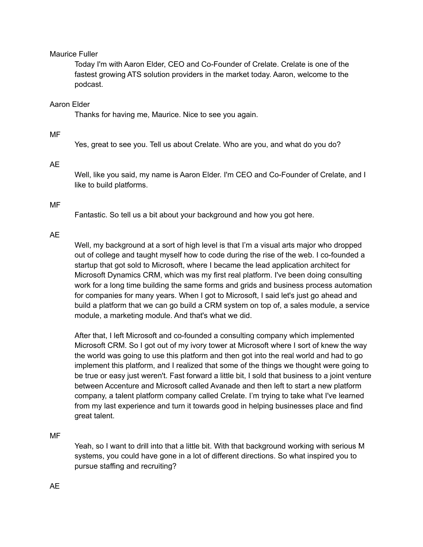# Maurice Fuller

Today I'm with Aaron Elder, CEO and Co-Founder of Crelate. Crelate is one of the fastest growing ATS solution providers in the market today. Aaron, welcome to the podcast.

# Aaron Elder

Thanks for having me, Maurice. Nice to see you again.

# MF

Yes, great to see you. Tell us about Crelate. Who are you, and what do you do?

### AE

Well, like you said, my name is Aaron Elder. I'm CEO and Co-Founder of Crelate, and I like to build platforms.

# MF

Fantastic. So tell us a bit about your background and how you got here.

# AE

Well, my background at a sort of high level is that I'm a visual arts major who dropped out of college and taught myself how to code during the rise of the web. I co-founded a startup that got sold to Microsoft, where I became the lead application architect for Microsoft Dynamics CRM, which was my first real platform. I've been doing consulting work for a long time building the same forms and grids and business process automation for companies for many years. When I got to Microsoft, I said let's just go ahead and build a platform that we can go build a CRM system on top of, a sales module, a service module, a marketing module. And that's what we did.

After that, I left Microsoft and co-founded a consulting company which implemented Microsoft CRM. So I got out of my ivory tower at Microsoft where I sort of knew the way the world was going to use this platform and then got into the real world and had to go implement this platform, and I realized that some of the things we thought were going to be true or easy just weren't. Fast forward a little bit, I sold that business to a joint venture between Accenture and Microsoft called Avanade and then left to start a new platform company, a talent platform company called Crelate. I'm trying to take what I've learned from my last experience and turn it towards good in helping businesses place and find great talent.

### MF

Yeah, so I want to drill into that a little bit. With that background working with serious M systems, you could have gone in a lot of different directions. So what inspired you to pursue staffing and recruiting?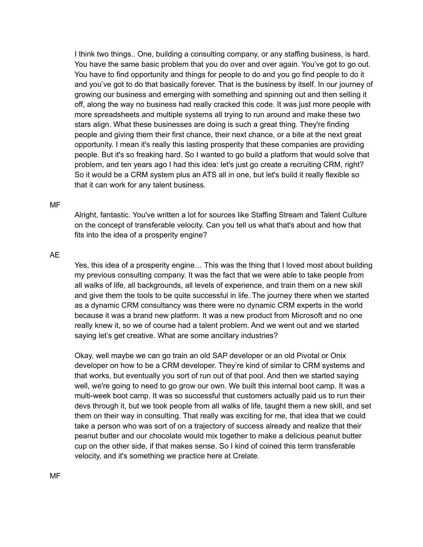I think two things.. One, building a consulting company, or any staffing business, is hard. You have the same basic problem that you do over and over again. You've got to go out. You have to find opportunity and things for people to do and you go find people to do it and you've got to do that basically forever. That is the business by itself. In our journey of growing our business and emerging with something and spinning out and then selling it off, along the way no business had really cracked this code. It was just more people with more spreadsheets and multiple systems all trying to run around and make these two stars align. What these businesses are doing is such a great thing. They're finding people and giving them their first chance, their next chance, or a bite at the next great opportunity. I mean it's really this lasting prosperity that these companies are providing people. But it's so freaking hard. So I wanted to go build a platform that would solve that problem, and ten years ago I had this idea: let's just go create a recruiting CRM, right? So it would be a CRM system plus an ATS all in one, but let's build it really flexible so that it can work for any talent business.

#### MF

Alright, fantastic. You've written a lot for sources like Staffing Stream and Talent Culture on the concept of transferable velocity. Can you tell us what that's about and how that fits into the idea of a prosperity engine?

# AE

Yes, this idea of a prosperity engine… This was the thing that I loved most about building my previous consulting company. It was the fact that we were able to take people from all walks of life, all backgrounds, all levels of experience, and train them on a new skill and give them the tools to be quite successful in life. The journey there when we started as a dynamic CRM consultancy was there were no dynamic CRM experts in the world because it was a brand new platform. It was a new product from Microsoft and no one really knew it, so we of course had a talent problem. And we went out and we started saying let's get creative. What are some ancillary industries?

Okay, well maybe we can go train an old SAP developer or an old Pivotal or Onix developer on how to be a CRM developer. They're kind of similar to CRM systems and that works, but eventually you sort of run out of that pool. And then we started saying well, we're going to need to go grow our own. We built this internal boot camp. It was a multi-week boot camp. It was so successful that customers actually paid us to run their devs through it, but we took people from all walks of life, taught them a new skill, and set them on their way in consulting. That really was exciting for me, that idea that we could take a person who was sort of on a trajectory of success already and realize that their peanut butter and our chocolate would mix together to make a delicious peanut butter cup on the other side, if that makes sense. So I kind of coined this term transferable velocity, and it's something we practice here at Crelate.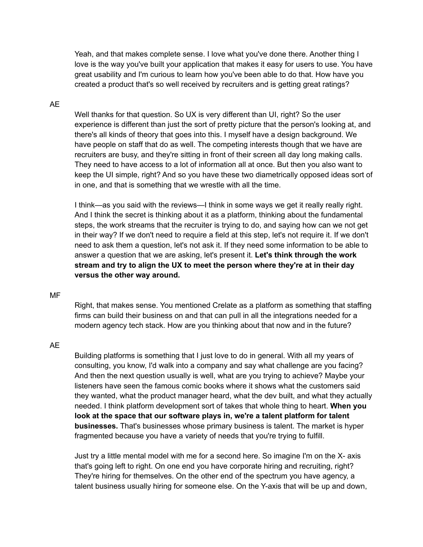Yeah, and that makes complete sense. I love what you've done there. Another thing I love is the way you've built your application that makes it easy for users to use. You have great usability and I'm curious to learn how you've been able to do that. How have you created a product that's so well received by recruiters and is getting great ratings?

# AE

Well thanks for that question. So UX is very different than UI, right? So the user experience is different than just the sort of pretty picture that the person's looking at, and there's all kinds of theory that goes into this. I myself have a design background. We have people on staff that do as well. The competing interests though that we have are recruiters are busy, and they're sitting in front of their screen all day long making calls. They need to have access to a lot of information all at once. But then you also want to keep the UI simple, right? And so you have these two diametrically opposed ideas sort of in one, and that is something that we wrestle with all the time.

I think—as you said with the reviews—I think in some ways we get it really really right. And I think the secret is thinking about it as a platform, thinking about the fundamental steps, the work streams that the recruiter is trying to do, and saying how can we not get in their way? If we don't need to require a field at this step, let's not require it. If we don't need to ask them a question, let's not ask it. If they need some information to be able to answer a question that we are asking, let's present it. **Let's think through the work stream and try to align the UX to meet the person where they're at in their day versus the other way around.**

#### MF

Right, that makes sense. You mentioned Crelate as a platform as something that staffing firms can build their business on and that can pull in all the integrations needed for a modern agency tech stack. How are you thinking about that now and in the future?

### AE

Building platforms is something that I just love to do in general. With all my years of consulting, you know, I'd walk into a company and say what challenge are you facing? And then the next question usually is well, what are you trying to achieve? Maybe your listeners have seen the famous comic books where it shows what the customers said they wanted, what the product manager heard, what the dev built, and what they actually needed. I think platform development sort of takes that whole thing to heart. **When you look at the space that our software plays in, we're a talent platform for talent businesses.** That's businesses whose primary business is talent. The market is hyper fragmented because you have a variety of needs that you're trying to fulfill.

Just try a little mental model with me for a second here. So imagine I'm on the X- axis that's going left to right. On one end you have corporate hiring and recruiting, right? They're hiring for themselves. On the other end of the spectrum you have agency, a talent business usually hiring for someone else. On the Y-axis that will be up and down,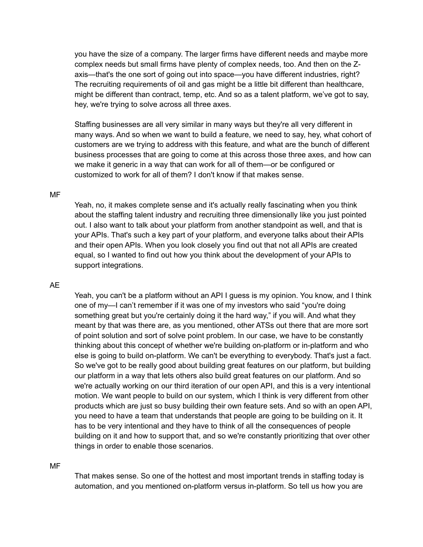you have the size of a company. The larger firms have different needs and maybe more complex needs but small firms have plenty of complex needs, too. And then on the Zaxis—that's the one sort of going out into space—you have different industries, right? The recruiting requirements of oil and gas might be a little bit different than healthcare, might be different than contract, temp, etc. And so as a talent platform, we've got to say, hey, we're trying to solve across all three axes.

Staffing businesses are all very similar in many ways but they're all very different in many ways. And so when we want to build a feature, we need to say, hey, what cohort of customers are we trying to address with this feature, and what are the bunch of different business processes that are going to come at this across those three axes, and how can we make it generic in a way that can work for all of them—or be configured or customized to work for all of them? I don't know if that makes sense.

#### MF

Yeah, no, it makes complete sense and it's actually really fascinating when you think about the staffing talent industry and recruiting three dimensionally like you just pointed out. I also want to talk about your platform from another standpoint as well, and that is your APIs. That's such a key part of your platform, and everyone talks about their APIs and their open APIs. When you look closely you find out that not all APIs are created equal, so I wanted to find out how you think about the development of your APIs to support integrations.

# AE

Yeah, you can't be a platform without an API I guess is my opinion. You know, and I think one of my—I can't remember if it was one of my investors who said "you're doing something great but you're certainly doing it the hard way," if you will. And what they meant by that was there are, as you mentioned, other ATSs out there that are more sort of point solution and sort of solve point problem. In our case, we have to be constantly thinking about this concept of whether we're building on-platform or in-platform and who else is going to build on-platform. We can't be everything to everybody. That's just a fact. So we've got to be really good about building great features on our platform, but building our platform in a way that lets others also build great features on our platform. And so we're actually working on our third iteration of our open API, and this is a very intentional motion. We want people to build on our system, which I think is very different from other products which are just so busy building their own feature sets. And so with an open API, you need to have a team that understands that people are going to be building on it. It has to be very intentional and they have to think of all the consequences of people building on it and how to support that, and so we're constantly prioritizing that over other things in order to enable those scenarios.

#### MF

That makes sense. So one of the hottest and most important trends in staffing today is automation, and you mentioned on-platform versus in-platform. So tell us how you are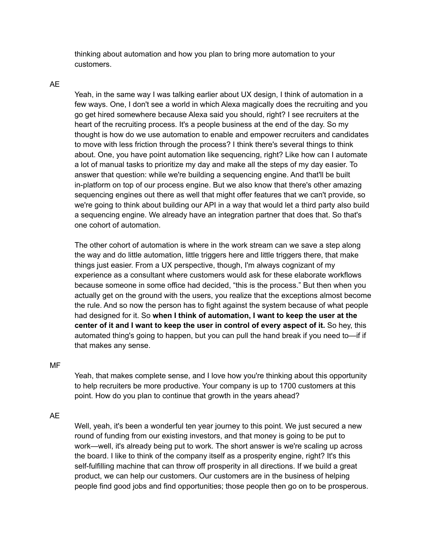thinking about automation and how you plan to bring more automation to your customers.

# AE

Yeah, in the same way I was talking earlier about UX design, I think of automation in a few ways. One, I don't see a world in which Alexa magically does the recruiting and you go get hired somewhere because Alexa said you should, right? I see recruiters at the heart of the recruiting process. It's a people business at the end of the day. So my thought is how do we use automation to enable and empower recruiters and candidates to move with less friction through the process? I think there's several things to think about. One, you have point automation like sequencing, right? Like how can I automate a lot of manual tasks to prioritize my day and make all the steps of my day easier. To answer that question: while we're building a sequencing engine. And that'll be built in-platform on top of our process engine. But we also know that there's other amazing sequencing engines out there as well that might offer features that we can't provide, so we're going to think about building our API in a way that would let a third party also build a sequencing engine. We already have an integration partner that does that. So that's one cohort of automation.

The other cohort of automation is where in the work stream can we save a step along the way and do little automation, little triggers here and little triggers there, that make things just easier. From a UX perspective, though, I'm always cognizant of my experience as a consultant where customers would ask for these elaborate workflows because someone in some office had decided, "this is the process." But then when you actually get on the ground with the users, you realize that the exceptions almost become the rule. And so now the person has to fight against the system because of what people had designed for it. So **when I think of automation, I want to keep the user at the center of it and I want to keep the user in control of every aspect of it.** So hey, this automated thing's going to happen, but you can pull the hand break if you need to—if if that makes any sense.

### MF

Yeah, that makes complete sense, and I love how you're thinking about this opportunity to help recruiters be more productive. Your company is up to 1700 customers at this point. How do you plan to continue that growth in the years ahead?

AE

Well, yeah, it's been a wonderful ten year journey to this point. We just secured a new round of funding from our existing investors, and that money is going to be put to work—well, it's already being put to work. The short answer is we're scaling up across the board. I like to think of the company itself as a prosperity engine, right? It's this self-fulfilling machine that can throw off prosperity in all directions. If we build a great product, we can help our customers. Our customers are in the business of helping people find good jobs and find opportunities; those people then go on to be prosperous.